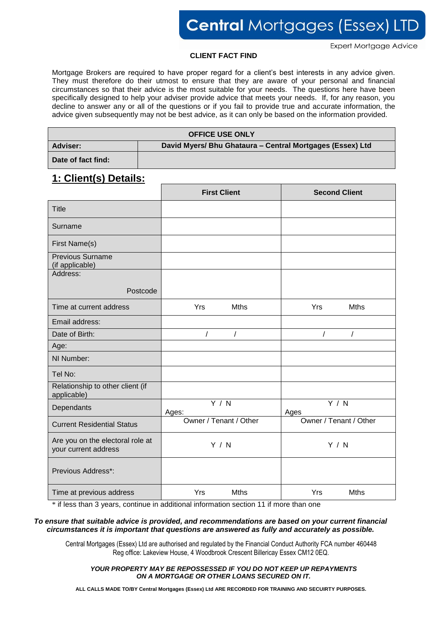**Expert Mortgage Advice** 

#### **CLIENT FACT FIND**

Mortgage Brokers are required to have proper regard for a client's best interests in any advice given. They must therefore do their utmost to ensure that they are aware of your personal and financial circumstances so that their advice is the most suitable for your needs. The questions here have been specifically designed to help your adviser provide advice that meets your needs. If, for any reason, you decline to answer any or all of the questions or if you fail to provide true and accurate information, the advice given subsequently may not be best advice, as it can only be based on the information provided.

| <b>OFFICE USE ONLY</b> |                                                           |  |  |
|------------------------|-----------------------------------------------------------|--|--|
| <b>Adviser:</b>        | David Myers/ Bhu Ghataura - Central Mortgages (Essex) Ltd |  |  |
| Date of fact find:     |                                                           |  |  |

#### **1: Client(s) Details:**

|                                                          | <b>First Client</b>    | <b>Second Client</b>   |
|----------------------------------------------------------|------------------------|------------------------|
| <b>Title</b>                                             |                        |                        |
| Surname                                                  |                        |                        |
| First Name(s)                                            |                        |                        |
| <b>Previous Surname</b><br>(if applicable)               |                        |                        |
| Address:                                                 |                        |                        |
| Postcode                                                 |                        |                        |
| Time at current address                                  | Yrs<br><b>Mths</b>     | <b>Mths</b><br>Yrs     |
| Email address:                                           |                        |                        |
| Date of Birth:                                           | $\prime$<br>$\prime$   | $\prime$               |
| Age:                                                     |                        |                        |
| NI Number:                                               |                        |                        |
| Tel No:                                                  |                        |                        |
| Relationship to other client (if<br>applicable)          |                        |                        |
| Dependants                                               | Y / N<br>Ages:         | Y/N<br>Ages            |
| <b>Current Residential Status</b>                        | Owner / Tenant / Other | Owner / Tenant / Other |
| Are you on the electoral role at<br>your current address | Y / N                  | Y / N                  |
| Previous Address*:                                       |                        |                        |
| Time at previous address                                 | Yrs<br><b>Mths</b>     | Yrs<br><b>Mths</b>     |

\* if less than 3 years, continue in additional information section 11 if more than one

#### *To ensure that suitable advice is provided, and recommendations are based on your current financial circumstances it is important that questions are answered as fully and accurately as possible.*

Central Mortgages (Essex) Ltd are authorised and regulated by the Financial Conduct Authority FCA number 460448 1 Reg office: Lakeview House, 4 Woodbrook Crescent Billericay Essex CM12 0EQ.

*YOUR PROPERTY MAY BE REPOSSESSED IF YOU DO NOT KEEP UP REPAYMENTS ON A MORTGAGE OR OTHER LOANS SECURED ON IT.*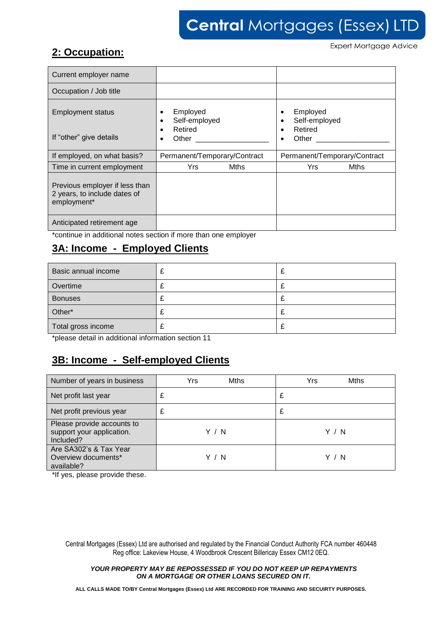## **2: Occupation:**

**Expert Mortgage Advice** 

| Current employer name                                                         |                              |      |                           |                              |
|-------------------------------------------------------------------------------|------------------------------|------|---------------------------|------------------------------|
| Occupation / Job title                                                        |                              |      |                           |                              |
| <b>Employment status</b>                                                      | Employed<br>Self-employed    |      | Employed<br>Self-employed |                              |
| If "other" give details                                                       | Retired<br>Other             |      | Retired<br>Other          |                              |
| If employed, on what basis?                                                   | Permanent/Temporary/Contract |      |                           | Permanent/Temporary/Contract |
| Time in current employment                                                    | Yrs.                         | Mths | Yrs                       | <b>Mths</b>                  |
| Previous employer if less than<br>2 years, to include dates of<br>employment* |                              |      |                           |                              |
| Anticipated retirement age                                                    |                              |      |                           |                              |

\*continue in additional notes section if more than one employer

## **3A: Income - Employed Clients**

| Basic annual income |   | t. |
|---------------------|---|----|
| Overtime            |   | ∼  |
| <b>Bonuses</b>      | ~ | L  |
| Other*              | ∼ | z. |
| Total gross income  | ~ | t. |

\*please detail in additional information section 11

## **3B: Income - Self-employed Clients**

| Number of years in business                                          | Yrs<br><b>Mths</b> | Yrs<br>Mths |
|----------------------------------------------------------------------|--------------------|-------------|
| Net profit last year                                                 | £                  | £           |
| Net profit previous year                                             | £                  | £           |
| Please provide accounts to<br>support your application.<br>Included? | Y / N              | Y / N       |
| Are SA302's & Tax Year<br>Overview documents*<br>available?          | Y / N              | Y / N       |

\*If yes, please provide these.

Central Mortgages (Essex) Ltd are authorised and regulated by the Financial Conduct Authority FCA number 460448 2 Reg office: Lakeview House, 4 Woodbrook Crescent Billericay Essex CM12 0EQ.

*YOUR PROPERTY MAY BE REPOSSESSED IF YOU DO NOT KEEP UP REPAYMENTS ON A MORTGAGE OR OTHER LOANS SECURED ON IT.*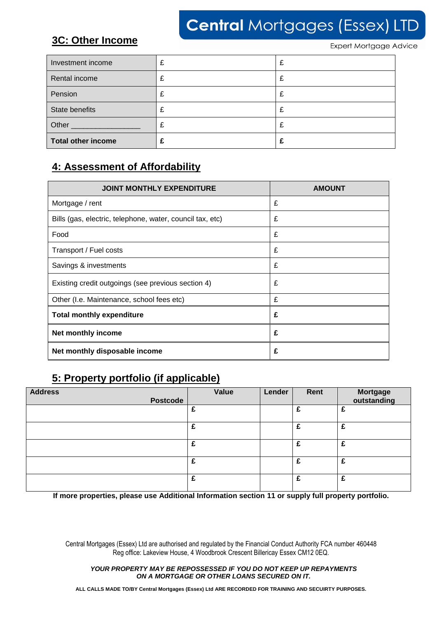## **3C: Other Income**

**Expert Mortgage Advice** 

| Investment income         | £ | £ |
|---------------------------|---|---|
| Rental income             | £ | £ |
| Pension                   | £ | £ |
| State benefits            | £ | £ |
| Other                     | £ | £ |
| <b>Total other income</b> |   | £ |

## **4: Assessment of Affordability**

| <b>JOINT MONTHLY EXPENDITURE</b>                          | <b>AMOUNT</b> |
|-----------------------------------------------------------|---------------|
| Mortgage / rent                                           | £             |
| Bills (gas, electric, telephone, water, council tax, etc) | £             |
| Food                                                      | £             |
| Transport / Fuel costs                                    | £             |
| Savings & investments                                     | £             |
| Existing credit outgoings (see previous section 4)        | £             |
| Other (I.e. Maintenance, school fees etc)                 | £             |
| <b>Total monthly expenditure</b>                          | £             |
| Net monthly income                                        | £             |
| Net monthly disposable income                             | £             |

## **5: Property portfolio (if applicable)**

| <b>Address</b>  | Value | Lender | Rent | Mortgage<br>outstanding |
|-----------------|-------|--------|------|-------------------------|
| <b>Postcode</b> |       |        |      |                         |
|                 | £     |        | £    | £                       |
|                 | £     |        | £    | £                       |
|                 | £     |        | £    | £                       |
|                 | £     |        | £    | £                       |
|                 | £     |        | £    | £                       |

**If more properties, please use Additional Information section 11 or supply full property portfolio.**

Central Mortgages (Essex) Ltd are authorised and regulated by the Financial Conduct Authority FCA number 460448 3 Reg office: Lakeview House, 4 Woodbrook Crescent Billericay Essex CM12 0EQ.

*YOUR PROPERTY MAY BE REPOSSESSED IF YOU DO NOT KEEP UP REPAYMENTS ON A MORTGAGE OR OTHER LOANS SECURED ON IT.*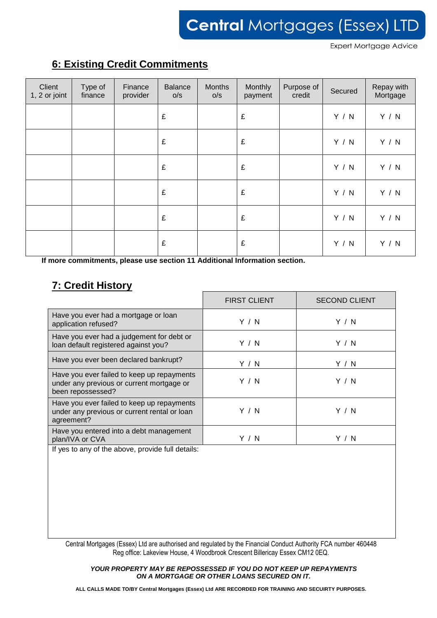**Expert Mortgage Advice** 

## **6: Existing Credit Commitments**

| Client<br>1, 2 or joint | Type of<br>finance | Finance<br>provider | <b>Balance</b><br>O/S | Months<br>O/S | Monthly<br>payment | Purpose of<br>credit | Secured | Repay with<br>Mortgage |
|-------------------------|--------------------|---------------------|-----------------------|---------------|--------------------|----------------------|---------|------------------------|
|                         |                    |                     | £                     |               | £                  |                      | Y / N   | Y / N                  |
|                         |                    |                     | £                     |               | £                  |                      | Y / N   | Y / N                  |
|                         |                    |                     | £                     |               | £                  |                      | Y / N   | Y / N                  |
|                         |                    |                     | £                     |               | £                  |                      | Y / N   | Y / N                  |
|                         |                    |                     | £                     |               | £                  |                      | Y / N   | Y / N                  |
|                         |                    |                     | £                     |               | $\pounds$          |                      | Y / N   | Y / N                  |

**If more commitments, please use section 11 Additional Information section.**

## **7: Credit History**

|                                                                                                                                                                                                                                                     | <b>FIRST CLIENT</b> | <b>SECOND CLIENT</b> |
|-----------------------------------------------------------------------------------------------------------------------------------------------------------------------------------------------------------------------------------------------------|---------------------|----------------------|
| Have you ever had a mortgage or loan<br>application refused?                                                                                                                                                                                        | Y/N                 | Y / N                |
| Have you ever had a judgement for debt or<br>loan default registered against you?                                                                                                                                                                   | Y / N               | Y / N                |
| Have you ever been declared bankrupt?                                                                                                                                                                                                               | Y / N               | Y / N                |
| Have you ever failed to keep up repayments<br>under any previous or current mortgage or<br>been repossessed?                                                                                                                                        | Y/N                 | Y / N                |
| Have you ever failed to keep up repayments<br>under any previous or current rental or loan<br>agreement?                                                                                                                                            | Y / N               | Y / N                |
| Have you entered into a debt management<br>plan/IVA or CVA                                                                                                                                                                                          | Y / N               | Y / N                |
| The contract of the contract of the contract of the contract of the contract of the contract of the contract of the contract of the contract of the contract of the contract of the contract of the contract of the contract o<br>アフレーダー ローコンティングレー |                     |                      |

If yes to any of the above, provide full details:

Central Mortgages (Essex) Ltd are authorised and regulated by the Financial Conduct Authority FCA number 460448 4 Reg office: Lakeview House, 4 Woodbrook Crescent Billericay Essex CM12 0EQ.

*YOUR PROPERTY MAY BE REPOSSESSED IF YOU DO NOT KEEP UP REPAYMENTS ON A MORTGAGE OR OTHER LOANS SECURED ON IT.*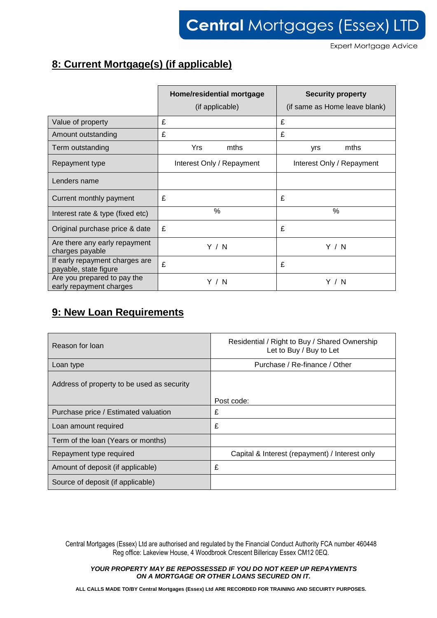**Expert Mortgage Advice** 

## **8: Current Mortgage(s) (if applicable)**

|                                                         | Home/residential mortgage<br>(if applicable) | <b>Security property</b><br>(if same as Home leave blank) |  |
|---------------------------------------------------------|----------------------------------------------|-----------------------------------------------------------|--|
| Value of property                                       | £                                            | £                                                         |  |
| Amount outstanding                                      | £                                            | £                                                         |  |
| Term outstanding                                        | Yrs<br>mths                                  | mths<br>yrs                                               |  |
| Repayment type                                          | Interest Only / Repayment                    | Interest Only / Repayment                                 |  |
| Lenders name                                            |                                              |                                                           |  |
| Current monthly payment                                 | £                                            | £                                                         |  |
| Interest rate & type (fixed etc)                        | $\%$                                         | %                                                         |  |
| Original purchase price & date                          | £                                            | £                                                         |  |
| Are there any early repayment<br>charges payable        | Y / N                                        | Y/N                                                       |  |
| If early repayment charges are<br>payable, state figure | £                                            | £                                                         |  |
| Are you prepared to pay the<br>early repayment charges  | Y / N                                        | Y / N                                                     |  |

## **9: New Loan Requirements**

| Reason for loan                            | Residential / Right to Buy / Shared Ownership<br>Let to Buy / Buy to Let |
|--------------------------------------------|--------------------------------------------------------------------------|
| Loan type                                  | Purchase / Re-finance / Other                                            |
| Address of property to be used as security | Post code:                                                               |
| Purchase price / Estimated valuation       | £                                                                        |
|                                            |                                                                          |
| Loan amount required                       | £                                                                        |
| Term of the loan (Years or months)         |                                                                          |
| Repayment type required                    | Capital & Interest (repayment) / Interest only                           |
| Amount of deposit (if applicable)          | £                                                                        |
| Source of deposit (if applicable)          |                                                                          |

Central Mortgages (Essex) Ltd are authorised and regulated by the Financial Conduct Authority FCA number 460448 5 Reg office: Lakeview House, 4 Woodbrook Crescent Billericay Essex CM12 0EQ.

*YOUR PROPERTY MAY BE REPOSSESSED IF YOU DO NOT KEEP UP REPAYMENTS ON A MORTGAGE OR OTHER LOANS SECURED ON IT.*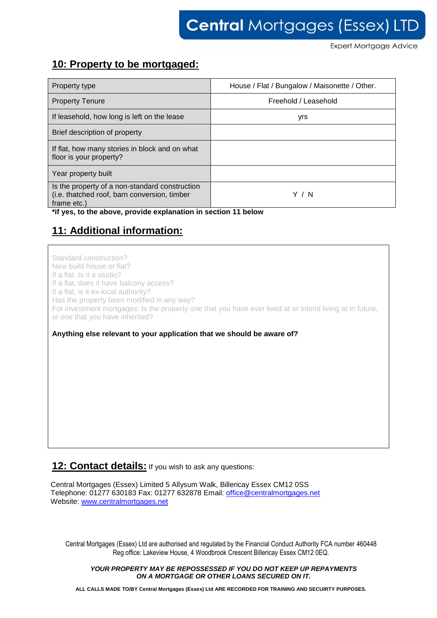**Expert Mortgage Advice** 

#### **10: Property to be mortgaged:**

| Property type                                                                                                 | House / Flat / Bungalow / Maisonette / Other. |
|---------------------------------------------------------------------------------------------------------------|-----------------------------------------------|
| <b>Property Tenure</b>                                                                                        | Freehold / Leasehold                          |
| If leasehold, how long is left on the lease                                                                   | yrs                                           |
| Brief description of property                                                                                 |                                               |
| If flat, how many stories in block and on what<br>floor is your property?                                     |                                               |
| Year property built                                                                                           |                                               |
| Is the property of a non-standard construction<br>(i.e. thatched roof, barn conversion, timber<br>frame etc.) | 'N                                            |

**\*if yes, to the above, provide explanation in section 11 below**

## **11: Additional information:**

Standard construction? New build house or flat? If a flat. Is it a studio? If a flat, does it have balcony access? If a flat, is it ex-local authority? Has the property been modified in any way? For investment mortgages: Is the property one that you have ever lived at or intend living at in future, or one that you have inherited?

#### **Anything else relevant to your application that we should be aware of?**

#### **12: Contact details:** If you wish to ask any questions:

Central Mortgages (Essex) Limited 5 Allysum Walk, Billericay Essex CM12 0SS Telephone: 01277 630183 Fax: 01277 632878 Email: [office@centralmortgages.net](mailto:office@centralmortgages.net) Website: [www.centralmortgages.net](http://www.centralmortgages.net/)

Central Mortgages (Essex) Ltd are authorised and regulated by the Financial Conduct Authority FCA number 460448 6 Reg office: Lakeview House, 4 Woodbrook Crescent Billericay Essex CM12 0EQ.

#### *YOUR PROPERTY MAY BE REPOSSESSED IF YOU DO NOT KEEP UP REPAYMENTS ON A MORTGAGE OR OTHER LOANS SECURED ON IT.*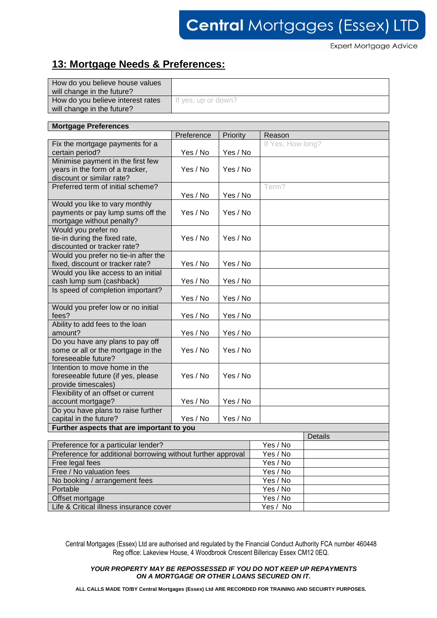**Expert Mortgage Advice** 

## **13: Mortgage Needs & Preferences:**

| How do you believe house values<br>will change in the future?   |                     |
|-----------------------------------------------------------------|---------------------|
| How do you believe interest rates<br>will change in the future? | If yes, up or down? |

| <b>Mortgage Preferences</b>                                  |            |          |                   |                |  |  |
|--------------------------------------------------------------|------------|----------|-------------------|----------------|--|--|
|                                                              | Preference | Priority | Reason            |                |  |  |
| Fix the mortgage payments for a                              |            |          | If Yes, How long? |                |  |  |
| certain period?                                              | Yes / No   | Yes / No |                   |                |  |  |
| Minimise payment in the first few                            |            |          |                   |                |  |  |
| years in the form of a tracker,                              | Yes / No   | Yes / No |                   |                |  |  |
| discount or similar rate?                                    |            |          |                   |                |  |  |
| Preferred term of initial scheme?                            |            |          | Term?             |                |  |  |
|                                                              | Yes / No   | Yes / No |                   |                |  |  |
| Would you like to vary monthly                               |            |          |                   |                |  |  |
| payments or pay lump sums off the                            | Yes / No   | Yes / No |                   |                |  |  |
| mortgage without penalty?                                    |            |          |                   |                |  |  |
| Would you prefer no                                          |            |          |                   |                |  |  |
| tie-in during the fixed rate,                                | Yes / No   | Yes / No |                   |                |  |  |
| discounted or tracker rate?                                  |            |          |                   |                |  |  |
| Would you prefer no tie-in after the                         |            |          |                   |                |  |  |
| fixed, discount or tracker rate?                             | Yes / No   | Yes / No |                   |                |  |  |
| Would you like access to an initial                          |            |          |                   |                |  |  |
| cash lump sum (cashback)                                     | Yes / No   | Yes / No |                   |                |  |  |
| Is speed of completion important?                            |            |          |                   |                |  |  |
|                                                              | Yes / No   | Yes / No |                   |                |  |  |
| Would you prefer low or no initial                           |            |          |                   |                |  |  |
| fees?                                                        | Yes / No   | Yes / No |                   |                |  |  |
| Ability to add fees to the loan                              |            |          |                   |                |  |  |
| amount?                                                      | Yes / No   | Yes / No |                   |                |  |  |
| Do you have any plans to pay off                             |            |          |                   |                |  |  |
| some or all or the mortgage in the                           | Yes / No   | Yes / No |                   |                |  |  |
| foreseeable future?                                          |            |          |                   |                |  |  |
| Intention to move home in the                                |            |          |                   |                |  |  |
| foreseeable future (if yes, please                           | Yes / No   | Yes / No |                   |                |  |  |
| provide timescales)                                          |            |          |                   |                |  |  |
| Flexibility of an offset or current                          |            |          |                   |                |  |  |
| account mortgage?                                            | Yes / No   | Yes / No |                   |                |  |  |
| Do you have plans to raise further                           |            |          |                   |                |  |  |
| capital in the future?                                       | Yes / No   | Yes / No |                   |                |  |  |
| Further aspects that are important to you                    |            |          |                   |                |  |  |
|                                                              |            |          |                   | <b>Details</b> |  |  |
| Preference for a particular lender?                          |            |          | Yes / No          |                |  |  |
| Preference for additional borrowing without further approval |            |          | Yes / No          |                |  |  |
| Free legal fees                                              |            |          | Yes / No          |                |  |  |
| Free / No valuation fees                                     |            |          | Yes / No          |                |  |  |
| No booking / arrangement fees                                |            |          | Yes / No          |                |  |  |
| Portable                                                     |            |          | Yes / No          |                |  |  |
| Offset mortgage                                              |            |          | Yes / No          |                |  |  |
| Life & Critical illness insurance cover                      |            |          | Yes / No          |                |  |  |

Central Mortgages (Essex) Ltd are authorised and regulated by the Financial Conduct Authority FCA number 460448 7 Reg office: Lakeview House, 4 Woodbrook Crescent Billericay Essex CM12 0EQ.

#### *YOUR PROPERTY MAY BE REPOSSESSED IF YOU DO NOT KEEP UP REPAYMENTS ON A MORTGAGE OR OTHER LOANS SECURED ON IT.*